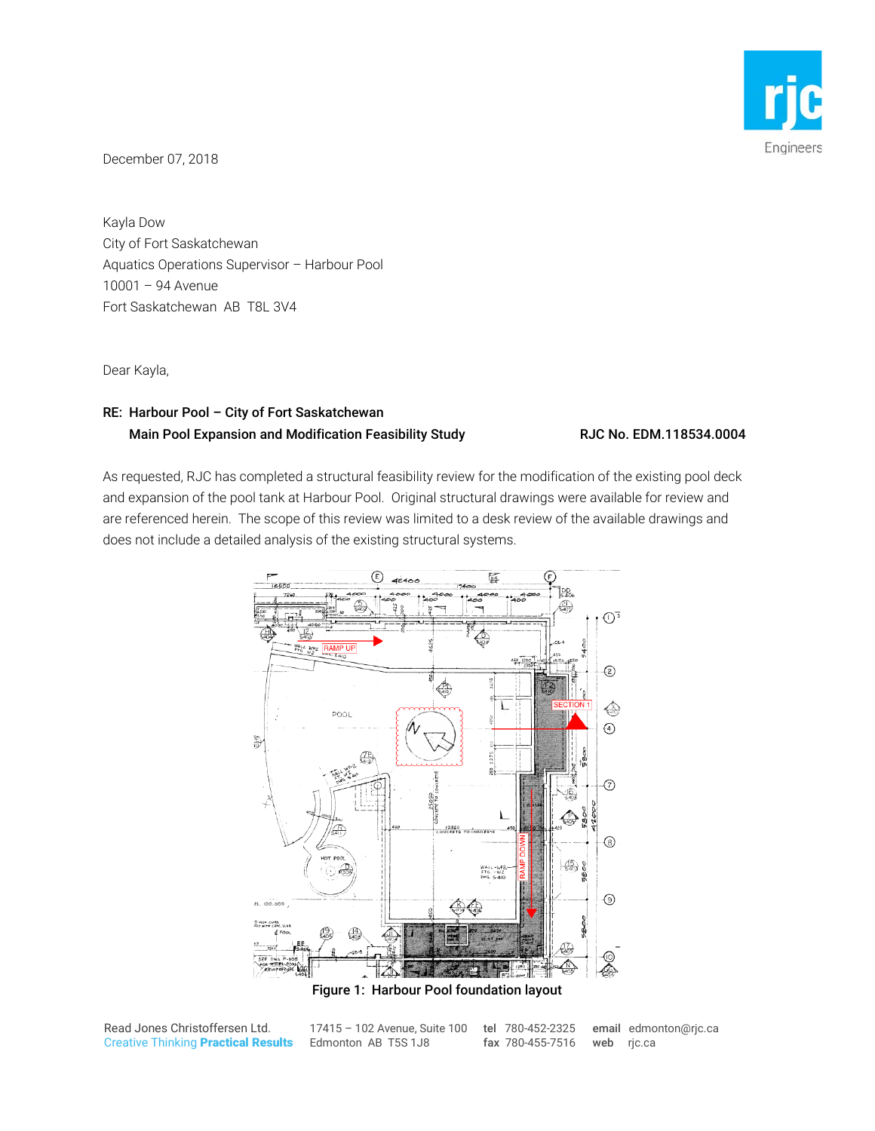

December 07, 2018

Kayla Dow City of Fort Saskatchewan Aquatics Operations Supervisor – Harbour Pool 10001 – 94 Avenue Fort Saskatchewan AB T8L 3V4

Dear Kayla,

## RE: Harbour Pool – City of Fort Saskatchewan Main Pool Expansion and Modification Feasibility Study RJC No. EDM.118534.0004

As requested, RJC has completed a structural feasibility review for the modification of the existing pool deck and expansion of the pool tank at Harbour Pool. Original structural drawings were available for review and are referenced herein. The scope of this review was limited to a desk review of the available drawings and does not include a detailed analysis of the existing structural systems.



Read Jones Christoffersen Ltd. Creative Thinking Practical Results

17415 – 102 Avenue, Suite 100 tel 780-452-2325 Edmonton AB T5S 1J8 fax 780-455-7516

email edmonton@rjc.ca web rjc.ca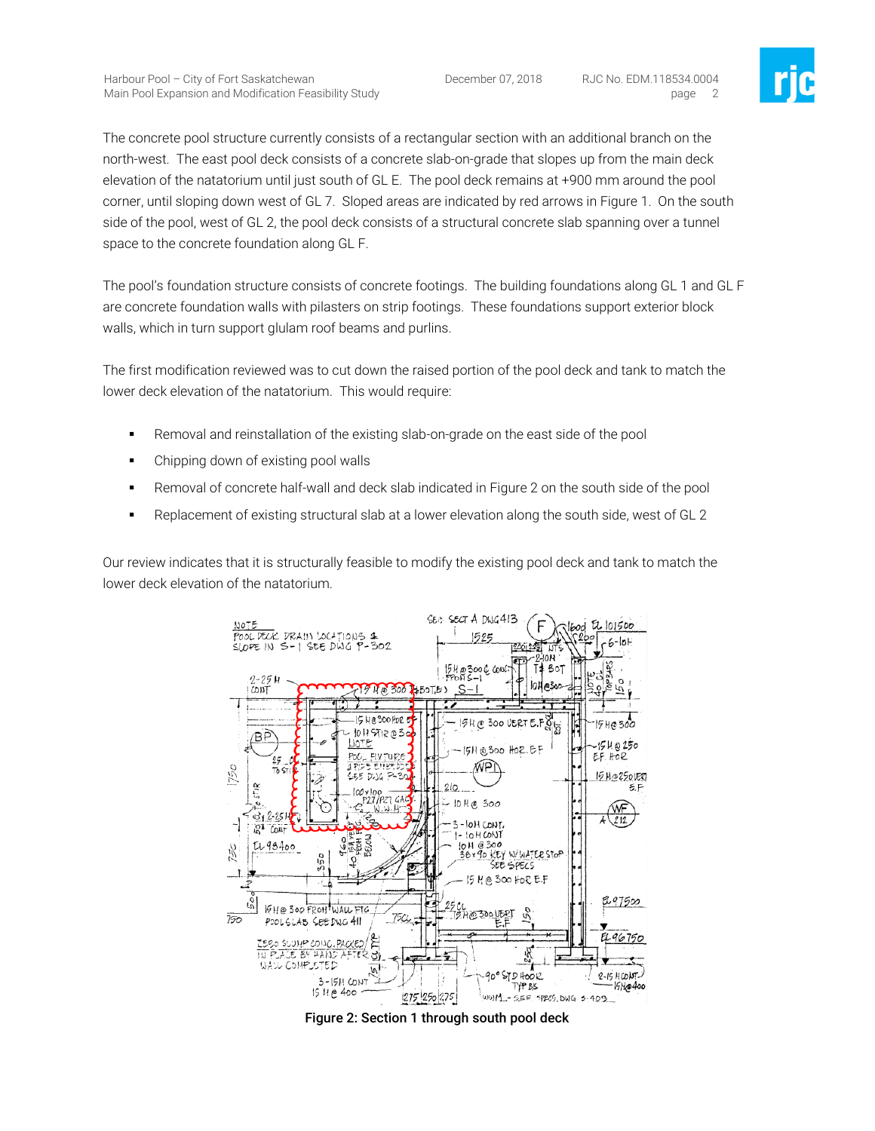December 07, 2018 RJC No. EDM.118534.0004 page 2



The concrete pool structure currently consists of a rectangular section with an additional branch on the north-west. The east pool deck consists of a concrete slab-on-grade that slopes up from the main deck elevation of the natatorium until just south of GL E. The pool deck remains at +900 mm around the pool corner, until sloping down west of GL 7. Sloped areas are indicated by red arrows in Figure 1. On the south side of the pool, west of GL 2, the pool deck consists of a structural concrete slab spanning over a tunnel space to the concrete foundation along GL F.

The pool's foundation structure consists of concrete footings. The building foundations along GL 1 and GL F are concrete foundation walls with pilasters on strip footings. These foundations support exterior block walls, which in turn support glulam roof beams and purlins.

The first modification reviewed was to cut down the raised portion of the pool deck and tank to match the lower deck elevation of the natatorium. This would require:

- Removal and reinstallation of the existing slab-on-grade on the east side of the pool
- Chipping down of existing pool walls
- **F** Removal of concrete half-wall and deck slab indicated in Figure 2 on the south side of the pool
- Replacement of existing structural slab at a lower elevation along the south side, west of GL 2

Our review indicates that it is structurally feasible to modify the existing pool deck and tank to match the lower deck elevation of the natatorium.



Figure 2: Section 1 through south pool deck